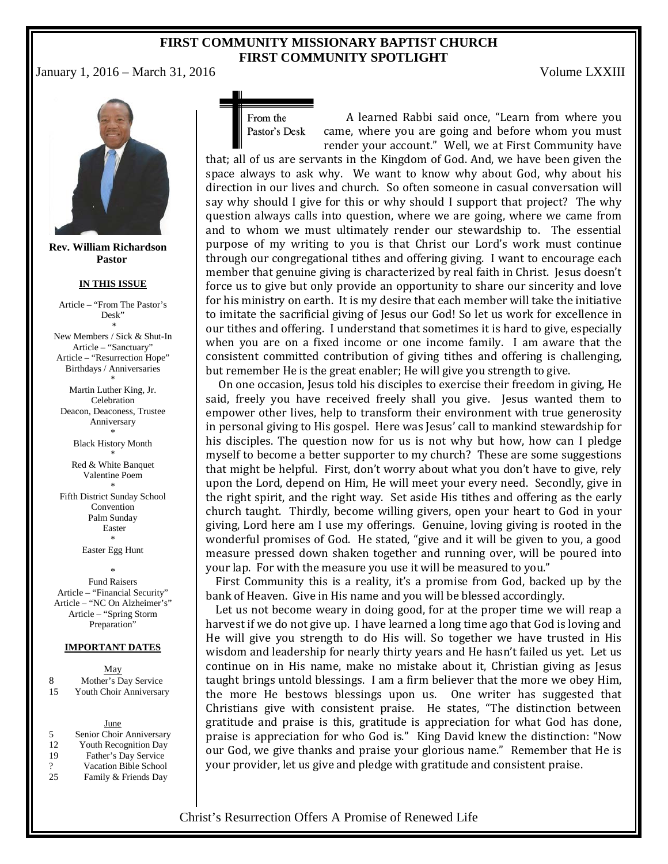## **FIRST COMMUNITY MISSIONARY BAPTIST CHURCH FIRST COMMUNITY SPOTLIGHT**

January 1, 2016 – March 31, 2016 Volume LXXIII



**Rev. William Richardson Pastor**

#### **IN THIS ISSUE**

Article – "From The Pastor's Desk"

\* New Members / Sick & Shut-In Article – "Sanctuary" Article – "Resurrection Hope" Birthdays / Anniversaries

\* Martin Luther King, Jr. Celebration Deacon, Deaconess, Trustee Anniversary \*

> Black History Month \*

Red & White Banquet Valentine Poem \*

Fifth District Sunday School Convention Palm Sunday Easter \*

Easter Egg Hunt

\* Fund Raisers Article – "Financial Security" Article – "NC On Alzheimer's" Article – "Spring Storm Preparation"

#### **IMPORTANT DATES**

| May |                         |  |  |  |  |  |
|-----|-------------------------|--|--|--|--|--|
| 8   | Mother's Day Service    |  |  |  |  |  |
| -15 | Youth Choir Anniversary |  |  |  |  |  |

June 5 Senior Choir Anniversary 12 Youth Recognition Day<br>19 Father's Day Service Father's Day Service ? Vacation Bible School 25 Family & Friends Day

From the Pastor's Desk

A learned Rabbi said once, "Learn from where you came, where you are going and before whom you must render your account." Well, we at First Community have

that; all of us are servants in the Kingdom of God. And, we have been given the space always to ask why. We want to know why about God, why about his direction in our lives and church. So often someone in casual conversation will say why should I give for this or why should I support that project? The why question always calls into question, where we are going, where we came from and to whom we must ultimately render our stewardship to. The essential purpose of my writing to you is that Christ our Lord's work must continue through our congregational tithes and offering giving. I want to encourage each member that genuine giving is characterized by real faith in Christ. Jesus doesn't force us to give but only provide an opportunity to share our sincerity and love for his ministry on earth. It is my desire that each member will take the initiative to imitate the sacrificial giving of Jesus our God! So let us work for excellence in our tithes and offering. I understand that sometimes it is hard to give, especially when you are on a fixed income or one income family. I am aware that the consistent committed contribution of giving tithes and offering is challenging, but remember He is the great enabler; He will give you strength to give.

On one occasion, Jesus told his disciples to exercise their freedom in giving, He said, freely you have received freely shall you give. Jesus wanted them to empower other lives, help to transform their environment with true generosity in personal giving to His gospel. Here was Jesus' call to mankind stewardship for his disciples. The question now for us is not why but how, how can I pledge myself to become a better supporter to my church? These are some suggestions that might be helpful. First, don't worry about what you don't have to give, rely upon the Lord, depend on Him, He will meet your every need. Secondly, give in the right spirit, and the right way. Set aside His tithes and offering as the early church taught. Thirdly, become willing givers, open your heart to God in your giving, Lord here am I use my offerings. Genuine, loving giving is rooted in the wonderful promises of God. He stated, "give and it will be given to you, a good measure pressed down shaken together and running over, will be poured into your lap. For with the measure you use it will be measured to you."

First Community this is a reality, it's a promise from God, backed up by the bank of Heaven. Give in His name and you will be blessed accordingly.

Let us not become weary in doing good, for at the proper time we will reap a harvest if we do not give up. I have learned a long time ago that God is loving and He will give you strength to do His will. So together we have trusted in His wisdom and leadership for nearly thirty years and He hasn't failed us yet. Let us continue on in His name, make no mistake about it, Christian giving as Jesus taught brings untold blessings. I am a firm believer that the more we obey Him, the more He bestows blessings upon us. One writer has suggested that Christians give with consistent praise. He states, "The distinction between gratitude and praise is this, gratitude is appreciation for what God has done, praise is appreciation for who God is." King David knew the distinction: "Now our God, we give thanks and praise your glorious name." Remember that He is your provider, let us give and pledge with gratitude and consistent praise.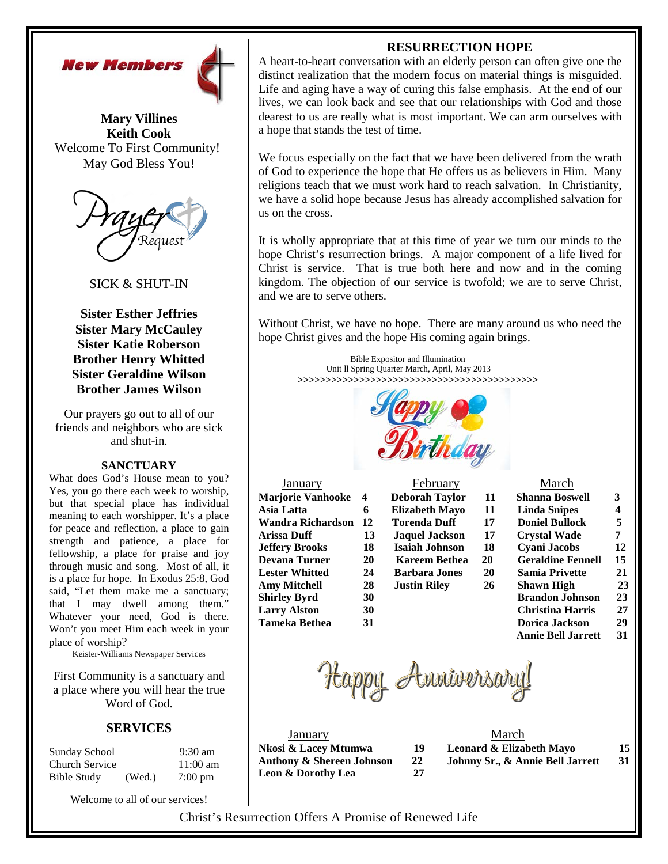



**Mary Villines Keith Cook** Welcome To First Community! May God Bless You!



SICK & SHUT-IN

**Sister Esther Jeffries Sister Mary McCauley Sister Katie Roberson Brother Henry Whitted Sister Geraldine Wilson Brother James Wilson**

Our prayers go out to all of our friends and neighbors who are sick and shut-in.

## **SANCTUARY**

What does God's House mean to you? Yes, you go there each week to worship, but that special place has individual meaning to each worshipper. It's a place for peace and reflection, a place to gain strength and patience, a place for fellowship, a place for praise and joy through music and song. Most of all, it is a place for hope. In Exodus 25:8, God said, "Let them make me a sanctuary; that I may dwell among them." Whatever your need, God is there. Won't you meet Him each week in your place of worship?

Keister-Williams Newspaper Services

First Community is a sanctuary and a place where you will hear the true Word of God.

## **SERVICES**

| Sunday School         |        | $9:30$ am          |
|-----------------------|--------|--------------------|
| <b>Church Service</b> |        | $11:00 \text{ am}$ |
| <b>Bible Study</b>    | (Wed.) | $7:00 \text{ pm}$  |

Welcome to all of our services!

## **RESURRECTION HOPE**

A heart-to-heart conversation with an elderly person can often give one the distinct realization that the modern focus on material things is misguided. Life and aging have a way of curing this false emphasis. At the end of our lives, we can look back and see that our relationships with God and those dearest to us are really what is most important. We can arm ourselves with a hope that stands the test of time.

We focus especially on the fact that we have been delivered from the wrath of God to experience the hope that He offers us as believers in Him. Many religions teach that we must work hard to reach salvation. In Christianity, we have a solid hope because Jesus has already accomplished salvation for us on the cross.

It is wholly appropriate that at this time of year we turn our minds to the hope Christ's resurrection brings. A major component of a life lived for Christ is service. That is true both here and now and in the coming kingdom. The objection of our service is twofold; we are to serve Christ, and we are to serve others.

Without Christ, we have no hope. There are many around us who need the hope Christ gives and the hope His coming again brings.

> Bible Expositor and Illumination Unit ll Spring Quarter March, April, May 2013 **>>>>>>>>>>>>>>>>>>>>>>>>>>>>>>>>>>>>>>>>>>>**



| <u>January</u>           |
|--------------------------|
| <b>Marjorie Vanhooke</b> |
| Asia Latta               |
| Wandra Richardson        |
| <b>Arissa Duff</b>       |
| <b>Jeffery Brooks</b>    |
| <b>Devana Turner</b>     |
| <b>Lester Whitted</b>    |
| <b>Amy Mitchell</b>      |
| <b>Shirley Byrd</b>      |
| <b>Larry Alston</b>      |
| Tameka Bethea            |
|                          |

## February March

| <b>Marjorie Vanhooke</b>                                                                                        | $\boldsymbol{4}$ | <b>Deborah Taylor</b> | 11        | <b>Shanna Boswell</b>    | 3   |
|-----------------------------------------------------------------------------------------------------------------|------------------|-----------------------|-----------|--------------------------|-----|
| Asia Latta                                                                                                      | 6                | <b>Elizabeth Mayo</b> | 11        | <b>Linda Snipes</b>      | 4   |
| Wandra Richardson                                                                                               | 12               | <b>Torenda Duff</b>   | 17        | <b>Doniel Bullock</b>    | 5   |
| Arissa Duff                                                                                                     | 13               | <b>Jaquel Jackson</b> | 17        | <b>Crystal Wade</b>      | 7   |
| Jeffery Brooks                                                                                                  | 18               | <b>Isaiah Johnson</b> | 18        | <b>Cyani Jacobs</b>      | 12  |
| Devana Turner                                                                                                   | 20               | <b>Kareem Bethea</b>  | 20        | <b>Geraldine Fennell</b> | 15  |
| <b>Lester Whitted</b>                                                                                           | 24               | <b>Barbara Jones</b>  | <b>20</b> | <b>Samia Privette</b>    | 21  |
| Amy Mitchell                                                                                                    | 28               | <b>Justin Riley</b>   | 26        | Shawn High               | 23  |
| <b>Shirley Byrd</b>                                                                                             | 30               |                       |           | <b>Brandon Johnson</b>   | 23  |
| Larry Alston                                                                                                    | 30               |                       |           | <b>Christina Harris</b>  | 27  |
| $\mathbf{T}_{\text{const}}$ , $\mathbf{L}_{\text{eff}}$ , $\mathbf{D}_{\text{eff}}$ , $\mathbf{L}_{\text{eff}}$ | 21               |                       |           | Deniae Leebaan           | nn. |

| Marjorie Vanhooke     | 4  | <b>Deborah Taylor</b> | 11 | <b>Shanna Boswell</b>     | 3  |
|-----------------------|----|-----------------------|----|---------------------------|----|
| Asia Latta            | 6  | Elizabeth Mayo        | 11 | Linda Snipes              | 4  |
| Wandra Richardson     | 12 | <b>Torenda Duff</b>   | 17 | <b>Doniel Bullock</b>     | 5  |
| Arissa Duff           | 13 | <b>Jaquel Jackson</b> | 17 | <b>Crystal Wade</b>       | 7  |
| Jeffery Brooks        | 18 | <b>Isaiah Johnson</b> | 18 | Cyani Jacobs              | 12 |
| Devana Turner         | 20 | Kareem Bethea         | 20 | <b>Geraldine Fennell</b>  | 15 |
| <b>Lester Whitted</b> | 24 | <b>Barbara Jones</b>  | 20 | <b>Samia Privette</b>     | 21 |
| Amy Mitchell          | 28 | <b>Justin Riley</b>   | 26 | Shawn High                | 23 |
| Shirley Byrd          | 30 |                       |    | <b>Brandon Johnson</b>    | 23 |
| Larry Alston          | 30 |                       |    | <b>Christina Harris</b>   | 27 |
| Tameka Bethea         | 31 |                       |    | Dorica Jackson            | 29 |
|                       |    |                       |    | <b>Annie Bell Jarrett</b> | 31 |

Happy Amriversary!

| January                       |    | March           |
|-------------------------------|----|-----------------|
| Nkosi & Lacey Mtumwa          | 19 | Leonard & Eliza |
| Anthony & Shereen Johnson     | 22 | Johnny Sr., & A |
| <b>Leon &amp; Dorothy Lea</b> | 27 |                 |

|    | March                            |    |
|----|----------------------------------|----|
| 19 | Leonard & Elizabeth Mayo         | 15 |
| 22 | Johnny Sr., & Annie Bell Jarrett | 31 |
|    |                                  |    |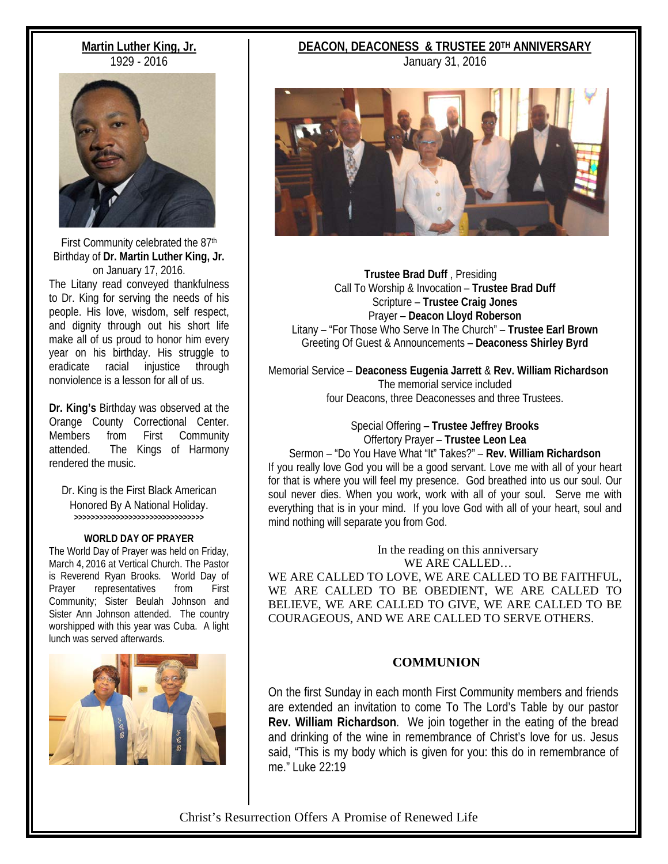## **Martin Luther King, Jr.** 1929 - 2016



First Community celebrated the 87<sup>th</sup> Birthday of **Dr. Martin Luther King, Jr.** on January 17, 2016.

The Litany read conveyed thankfulness to Dr. King for serving the needs of his people. His love, wisdom, self respect, and dignity through out his short life make all of us proud to honor him every year on his birthday. His struggle to eradicate racial injustice through nonviolence is a lesson for all of us.

**Dr. King's** Birthday was observed at the Orange County Correctional Center. Members from First Community attended. The Kings of Harmony rendered the music.

Dr. King is the First Black American Honored By A National Holiday. **>>>>>>>>>>>>>>>>>>>>>>>>>>>>>>>**

### **WORLD DAY OF PRAYER**

The World Day of Prayer was held on Friday, March 4, 2016 at Vertical Church. The Pastor is Reverend Ryan Brooks. World Day of Prayer representatives from First Community; Sister Beulah Johnson and Sister Ann Johnson attended. The country worshipped with this year was Cuba. A light lunch was served afterwards.



## **DEACON, DEACONESS & TRUSTEE 20TH ANNIVERSARY**

January 31, 2016



 **Trustee Brad Duff** , Presiding Call To Worship & Invocation – **Trustee Brad Duff** Scripture – **Trustee Craig Jones** Prayer – **Deacon Lloyd Roberson** Litany – "For Those Who Serve In The Church" – **Trustee Earl Brown** Greeting Of Guest & Announcements – **Deaconess Shirley Byrd**

Memorial Service – **Deaconess Eugenia Jarrett** & **Rev. William Richardson** The memorial service included four Deacons, three Deaconesses and three Trustees.

> Special Offering – **Trustee Jeffrey Brooks** Offertory Prayer – **Trustee Leon Lea**

Sermon – "Do You Have What "It" Takes?" – **Rev. William Richardson** If you really love God you will be a good servant. Love me with all of your heart for that is where you will feel my presence. God breathed into us our soul. Our soul never dies. When you work, work with all of your soul. Serve me with everything that is in your mind. If you love God with all of your heart, soul and mind nothing will separate you from God.

> In the reading on this anniversary WE ARE CALLED…

WE ARE CALLED TO LOVE, WE ARE CALLED TO BE FAITHFUL, WE ARE CALLED TO BE OBEDIENT, WE ARE CALLED TO BELIEVE, WE ARE CALLED TO GIVE, WE ARE CALLED TO BE COURAGEOUS, AND WE ARE CALLED TO SERVE OTHERS.

## **COMMUNION**

On the first Sunday in each month First Community members and friends are extended an invitation to come To The Lord's Table by our pastor **Rev. William Richardson**. We join together in the eating of the bread and drinking of the wine in remembrance of Christ's love for us. Jesus said, "This is my body which is given for you: this do in remembrance of me." Luke 22:19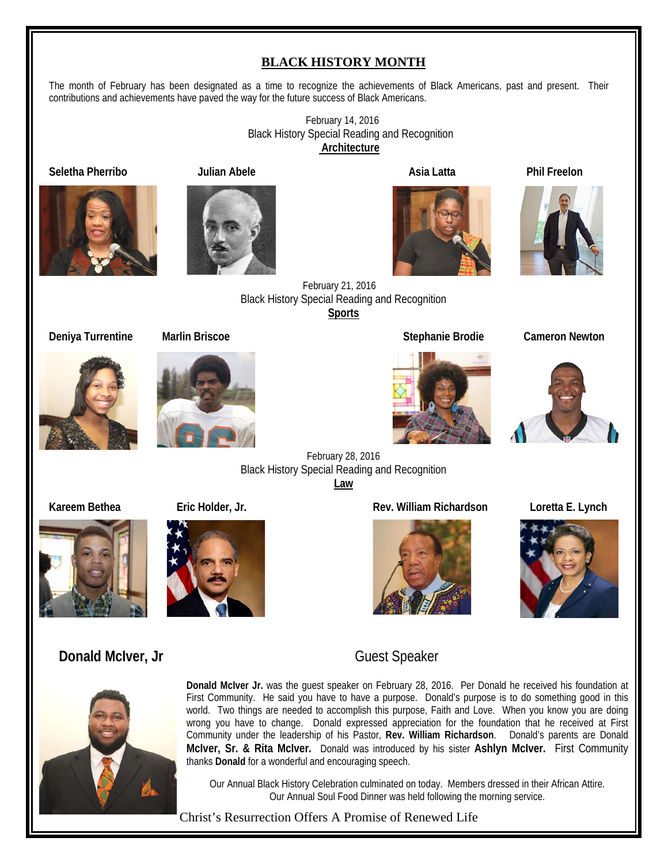## **BLACK HISTORY MONTH**

The month of February has been designated as a time to recognize the achievements of Black Americans, past and present. Their contributions and achievements have paved the way for the future success of Black Americans.

> February 14, 2016 Black History Special Reading and Recognition **Architecture**







**Seletha Pherribo Julian Abele Asia Latta Phil Freelon**



 February 21, 2016 Black History Special Reading and Recognition **Sports**

**Deniya Turrentine Marlin Briscoe Stephanie Brodie Cameron Newton**





February 28, 2016 Black History Special Reading and Recognition **Law**

**Kareem Bethea Eric Holder, Jr. Rev. William Richardson Loretta E. Lynch**











## **Donald McIver, Jr** Guest Speaker



**Donald McIver Jr.** was the guest speaker on February 28, 2016. Per Donald he received his foundation at First Community. He said you have to have a purpose. Donald's purpose is to do something good in this world. Two things are needed to accomplish this purpose, Faith and Love. When you know you are doing wrong you have to change. Donald expressed appreciation for the foundation that he received at First Community under the leadership of his Pastor, **Rev. William Richardson**. Donald's parents are Donald **McIver, Sr. & Rita McIver.** Donald was introduced by his sister **Ashlyn McIver.** First Community thanks **Donald** for a wonderful and encouraging speech.

Our Annual Black History Celebration culminated on today. Members dressed in their African Attire. Our Annual Soul Food Dinner was held following the morning service.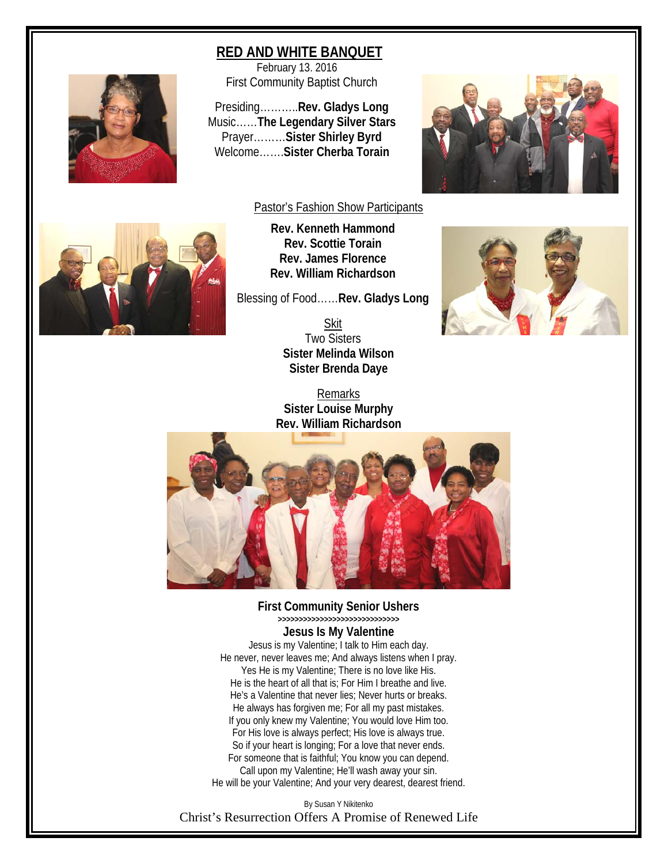## **RED AND WHITE BANQUET**

 February 13. 2016 First Community Baptist Church

Presiding………..**Rev. Gladys Long** Music……**The Legendary Silver Stars** Prayer………**Sister Shirley Byrd** Welcome…….**Sister Cherba Torain**





## Pastor's Fashion Show Participants

**Rev. Kenneth Hammond Rev. Scottie Torain Rev. James Florence Rev. William Richardson**

Blessing of Food……**Rev. Gladys Long**

**Skit** Two Sisters **Sister Melinda Wilson Sister Brenda Daye**

Remarks **Sister Louise Murphy Rev. William Richardson**





# **First Community Senior Ushers >>>>>>>>>>>>>>>>>>>>>>>>>>>>>**

**Jesus Is My Valentine**

Jesus is my Valentine; I talk to Him each day. He never, never leaves me; And always listens when I pray. Yes He is my Valentine; There is no love like His. He is the heart of all that is; For Him I breathe and live. He's a Valentine that never lies; Never hurts or breaks. He always has forgiven me; For all my past mistakes. If you only knew my Valentine; You would love Him too. For His love is always perfect; His love is always true. So if your heart is longing; For a love that never ends. For someone that is faithful; You know you can depend. Call upon my Valentine; He'll wash away your sin. He will be your Valentine; And your very dearest, dearest friend.

Christ's Resurrection Offers A Promise of Renewed Life By Susan Y Nikitenko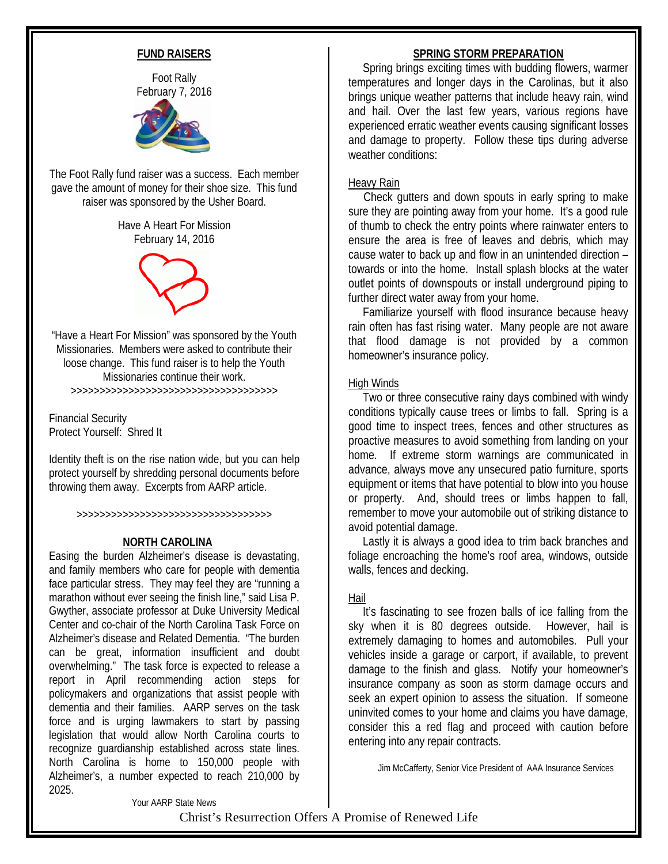## **FUND RAISERS**

Foot Rally February 7, 2016



The Foot Rally fund raiser was a success. Each member gave the amount of money for their shoe size. This fund raiser was sponsored by the Usher Board.

> Have A Heart For Mission February 14, 2016



"Have a Heart For Mission" was sponsored by the Youth Missionaries. Members were asked to contribute their loose change. This fund raiser is to help the Youth Missionaries continue their work. >>>>>>>>>>>>>>>>>>>>>>>>>>>>>>>>>>>>

Financial Security

Protect Yourself: Shred It

Identity theft is on the rise nation wide, but you can help protect yourself by shredding personal documents before throwing them away. Excerpts from AARP article.

>>>>>>>>>>>>>>>>>>>>>>>>>>>>>>>>>>

## **NORTH CAROLINA**

Easing the burden Alzheimer's disease is devastating, and family members who care for people with dementia face particular stress. They may feel they are "running a marathon without ever seeing the finish line," said Lisa P. Gwyther, associate professor at Duke University Medical Center and co-chair of the North Carolina Task Force on Alzheimer's disease and Related Dementia. "The burden can be great, information insufficient and doubt overwhelming." The task force is expected to release a report in April recommending action steps for policymakers and organizations that assist people with dementia and their families. AARP serves on the task force and is urging lawmakers to start by passing legislation that would allow North Carolina courts to recognize guardianship established across state lines. North Carolina is home to 150,000 people with Alzheimer's, a number expected to reach 210,000 by 2025.

## **SPRING STORM PREPARATION**

 Spring brings exciting times with budding flowers, warmer temperatures and longer days in the Carolinas, but it also brings unique weather patterns that include heavy rain, wind and hail. Over the last few years, various regions have experienced erratic weather events causing significant losses and damage to property. Follow these tips during adverse weather conditions:

## Heavy Rain

 Check gutters and down spouts in early spring to make sure they are pointing away from your home. It's a good rule of thumb to check the entry points where rainwater enters to ensure the area is free of leaves and debris, which may cause water to back up and flow in an unintended direction – towards or into the home. Install splash blocks at the water outlet points of downspouts or install underground piping to further direct water away from your home.

 Familiarize yourself with flood insurance because heavy rain often has fast rising water. Many people are not aware that flood damage is not provided by a common homeowner's insurance policy.

## High Winds

 Two or three consecutive rainy days combined with windy conditions typically cause trees or limbs to fall. Spring is a good time to inspect trees, fences and other structures as proactive measures to avoid something from landing on your home. If extreme storm warnings are communicated in advance, always move any unsecured patio furniture, sports equipment or items that have potential to blow into you house or property. And, should trees or limbs happen to fall, remember to move your automobile out of striking distance to avoid potential damage.

 Lastly it is always a good idea to trim back branches and foliage encroaching the home's roof area, windows, outside walls, fences and decking.

## Hail

 It's fascinating to see frozen balls of ice falling from the sky when it is 80 degrees outside. However, hail is extremely damaging to homes and automobiles. Pull your vehicles inside a garage or carport, if available, to prevent damage to the finish and glass. Notify your homeowner's insurance company as soon as storm damage occurs and seek an expert opinion to assess the situation. If someone uninvited comes to your home and claims you have damage, consider this a red flag and proceed with caution before entering into any repair contracts.

Jim McCafferty, Senior Vice President of AAA Insurance Services

Your AARP State News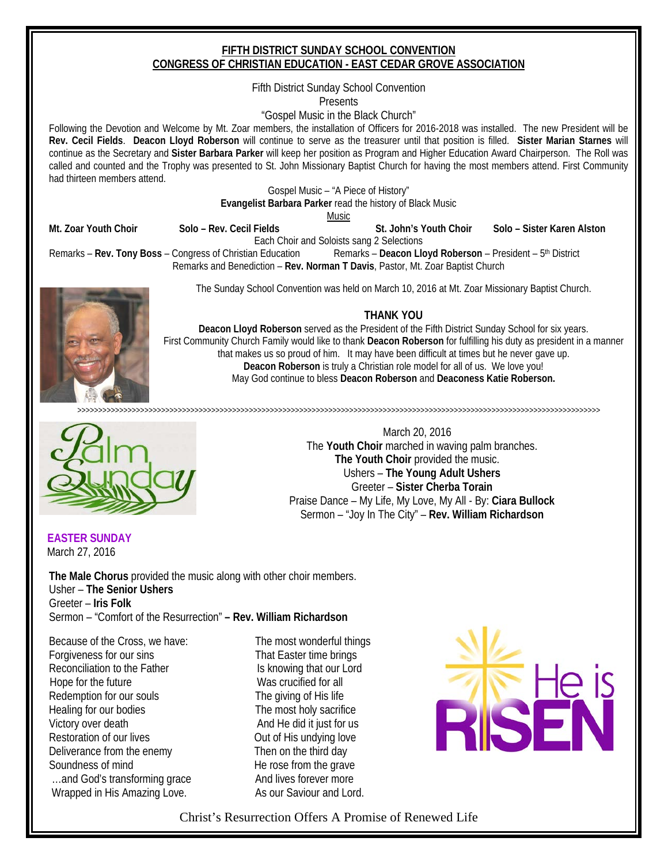## **FIFTH DISTRICT SUNDAY SCHOOL CONVENTION CONGRESS OF CHRISTIAN EDUCATION - EAST CEDAR GROVE ASSOCIATION**

Fifth District Sunday School Convention

Presents

"Gospel Music in the Black Church"

Following the Devotion and Welcome by Mt. Zoar members, the installation of Officers for 2016-2018 was installed. The new President will be **Rev. Cecil Fields**. **Deacon Lloyd Roberson** will continue to serve as the treasurer until that position is filled. **Sister Marian Starnes** will continue as the Secretary and **Sister Barbara Parker** will keep her position as Program and Higher Education Award Chairperson. The Roll was called and counted and the Trophy was presented to St. John Missionary Baptist Church for having the most members attend. First Community had thirteen members attend.

> Gospel Music – "A Piece of History" **Evangelist Barbara Parker** read the history of Black Music

Music

**Mt. Zoar Youth Choir Solo – Rev. Cecil Fields St. John's Youth Choir Solo – Sister Karen Alston**

Each Choir and Soloists sang 2 Selections

Remarks – **Rev. Tony Boss** – Congress of Christian Education Remarks – **Deacon Lloyd Roberson** – President – 5th District Remarks and Benediction – **Rev. Norman T Davis**, Pastor, Mt. Zoar Baptist Church

The Sunday School Convention was held on March 10, 2016 at Mt. Zoar Missionary Baptist Church.

## **THANK YOU**

**Deacon Lloyd Roberson** served as the President of the Fifth District Sunday School for six years. First Community Church Family would like to thank **Deacon Roberson** for fulfilling his duty as president in a manner that makes us so proud of him. It may have been difficult at times but he never gave up. **Deacon Roberson** is truly a Christian role model for all of us. We love you! May God continue to bless **Deacon Roberson** and **Deaconess Katie Roberson.**

>>>>>>>>>>>>>>>>>>>>>>>>>>>>>>>>>>>>>>>>>>>>>>>>>>>>>>>>>>>>>>>>>>>>>>>>>>>>>>>>>>>>>>>>>>>>>>>>>>>>>>>>>>>>>>>>>>>>>>>>>>>>>

March 20, 2016 The **Youth Choir** marched in waving palm branches. **The Youth Choir** provided the music. Ushers – **The Young Adult Ushers** Greeter – **Sister Cherba Torain** Praise Dance – My Life, My Love, My All - By: **Ciara Bullock** Sermon – "Joy In The City" – **Rev. William Richardson** 

 **EASTER SUNDAY**  March 27, 2016

**The Male Chorus** provided the music along with other choir members. Usher – **The Senior Ushers** Greeter – **Iris Folk** Sermon – "Comfort of the Resurrection" **– Rev. William Richardson**

Because of the Cross, we have: The most wonderful things Forgiveness for our sins That Easter time brings Reconciliation to the Father Is knowing that our Lord Hope for the future Network Controller Was crucified for all Redemption for our souls The giving of His life Healing for our bodies The most holy sacrifice Victory over death And He did it just for us Restoration of our lives Courcil Courses and Cut of His undying love Deliverance from the enemy Then on the third day Soundness of mind He rose from the grave ...and God's transforming grace And lives forever more Wrapped in His Amazing Love. As our Saviour and Lord.

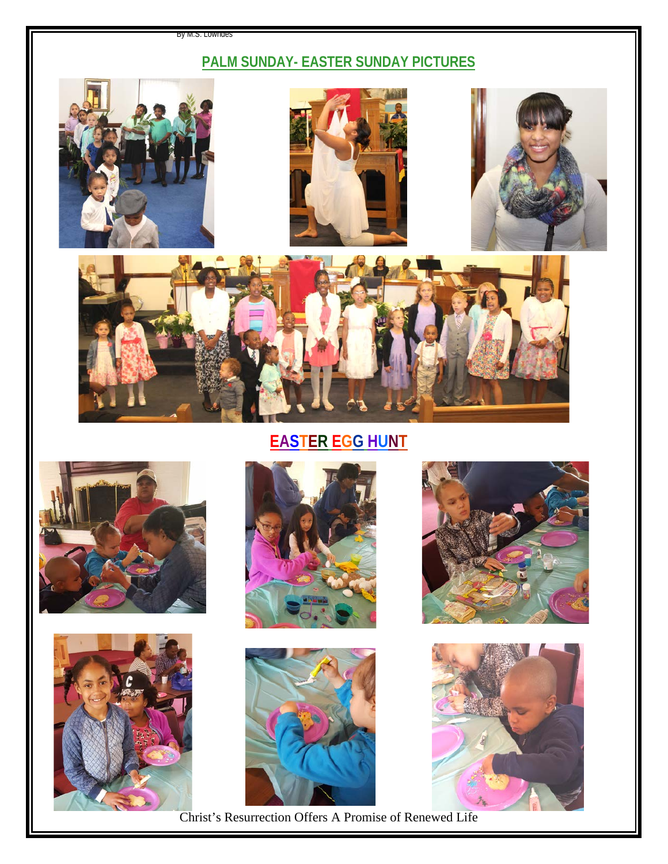#### By M.S. Lowndes

## **PALM SUNDAY- EASTER SUNDAY PICTURES**









**EASTER EGG HUNT**